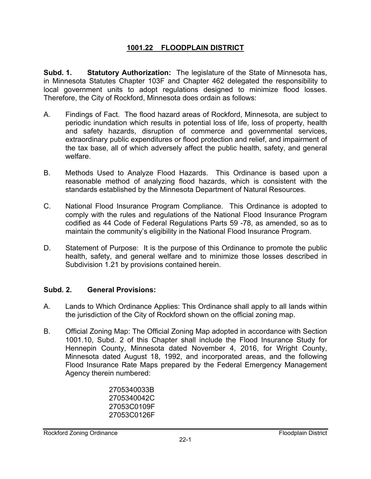## **1001.22 FLOODPLAIN DISTRICT**

**Subd. 1. Statutory Authorization:** The legislature of the State of Minnesota has, in Minnesota Statutes Chapter 103F and Chapter 462 delegated the responsibility to local government units to adopt regulations designed to minimize flood losses. Therefore, the City of Rockford, Minnesota does ordain as follows:

- A. Findings of Fact. The flood hazard areas of Rockford, Minnesota, are subject to periodic inundation which results in potential loss of life, loss of property, health and safety hazards, disruption of commerce and governmental services, extraordinary public expenditures or flood protection and relief, and impairment of the tax base, all of which adversely affect the public health, safety, and general welfare.
- B. Methods Used to Analyze Flood Hazards. This Ordinance is based upon a reasonable method of analyzing flood hazards, which is consistent with the standards established by the Minnesota Department of Natural Resources.
- C. National Flood Insurance Program Compliance. This Ordinance is adopted to comply with the rules and regulations of the National Flood Insurance Program codified as 44 Code of Federal Regulations Parts 59 -78, as amended, so as to maintain the community's eligibility in the National Flood Insurance Program.
- D. Statement of Purpose: It is the purpose of this Ordinance to promote the public health, safety, and general welfare and to minimize those losses described in Subdivision 1.21 by provisions contained herein.

## **Subd. 2. General Provisions:**

- A. Lands to Which Ordinance Applies: This Ordinance shall apply to all lands within the jurisdiction of the City of Rockford shown on the official zoning map.
- B. Official Zoning Map: The Official Zoning Map adopted in accordance with Section 1001.10, Subd. 2 of this Chapter shall include the Flood Insurance Study for Hennepin County, Minnesota dated November 4, 2016, for Wright County, Minnesota dated August 18, 1992, and incorporated areas, and the following Flood Insurance Rate Maps prepared by the Federal Emergency Management Agency therein numbered:

 2705340033B 2705340042C 27053C0109F 27053C0126F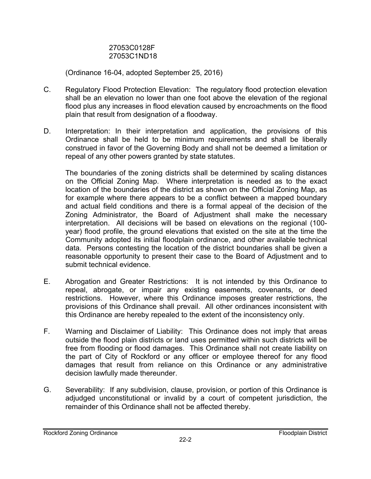## 27053C0128F 27053C1ND18

(Ordinance 16-04, adopted September 25, 2016)

- C. Regulatory Flood Protection Elevation: The regulatory flood protection elevation shall be an elevation no lower than one foot above the elevation of the regional flood plus any increases in flood elevation caused by encroachments on the flood plain that result from designation of a floodway.
- D. Interpretation: In their interpretation and application, the provisions of this Ordinance shall be held to be minimum requirements and shall be liberally construed in favor of the Governing Body and shall not be deemed a limitation or repeal of any other powers granted by state statutes.

The boundaries of the zoning districts shall be determined by scaling distances on the Official Zoning Map. Where interpretation is needed as to the exact location of the boundaries of the district as shown on the Official Zoning Map, as for example where there appears to be a conflict between a mapped boundary and actual field conditions and there is a formal appeal of the decision of the Zoning Administrator, the Board of Adjustment shall make the necessary interpretation. All decisions will be based on elevations on the regional (100 year) flood profile, the ground elevations that existed on the site at the time the Community adopted its initial floodplain ordinance, and other available technical data. Persons contesting the location of the district boundaries shall be given a reasonable opportunity to present their case to the Board of Adjustment and to submit technical evidence.

- E. Abrogation and Greater Restrictions: It is not intended by this Ordinance to repeal, abrogate, or impair any existing easements, covenants, or deed restrictions. However, where this Ordinance imposes greater restrictions, the provisions of this Ordinance shall prevail. All other ordinances inconsistent with this Ordinance are hereby repealed to the extent of the inconsistency only.
- F. Warning and Disclaimer of Liability: This Ordinance does not imply that areas outside the flood plain districts or land uses permitted within such districts will be free from flooding or flood damages. This Ordinance shall not create liability on the part of City of Rockford or any officer or employee thereof for any flood damages that result from reliance on this Ordinance or any administrative decision lawfully made thereunder.
- G. Severability: If any subdivision, clause, provision, or portion of this Ordinance is adjudged unconstitutional or invalid by a court of competent jurisdiction, the remainder of this Ordinance shall not be affected thereby.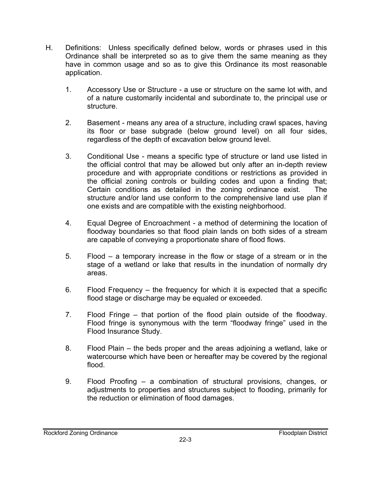- H. Definitions: Unless specifically defined below, words or phrases used in this Ordinance shall be interpreted so as to give them the same meaning as they have in common usage and so as to give this Ordinance its most reasonable application.
	- 1. Accessory Use or Structure a use or structure on the same lot with, and of a nature customarily incidental and subordinate to, the principal use or structure.
	- 2. Basement means any area of a structure, including crawl spaces, having its floor or base subgrade (below ground level) on all four sides, regardless of the depth of excavation below ground level.
	- 3. Conditional Use means a specific type of structure or land use listed in the official control that may be allowed but only after an in-depth review procedure and with appropriate conditions or restrictions as provided in the official zoning controls or building codes and upon a finding that; Certain conditions as detailed in the zoning ordinance exist. The structure and/or land use conform to the comprehensive land use plan if one exists and are compatible with the existing neighborhood.
	- 4. Equal Degree of Encroachment a method of determining the location of floodway boundaries so that flood plain lands on both sides of a stream are capable of conveying a proportionate share of flood flows.
	- 5. Flood a temporary increase in the flow or stage of a stream or in the stage of a wetland or lake that results in the inundation of normally dry areas.
	- 6. Flood Frequency the frequency for which it is expected that a specific flood stage or discharge may be equaled or exceeded.
	- 7. Flood Fringe that portion of the flood plain outside of the floodway. Flood fringe is synonymous with the term "floodway fringe" used in the Flood Insurance Study.
	- 8. Flood Plain the beds proper and the areas adjoining a wetland, lake or watercourse which have been or hereafter may be covered by the regional flood.
	- 9. Flood Proofing a combination of structural provisions, changes, or adjustments to properties and structures subject to flooding, primarily for the reduction or elimination of flood damages.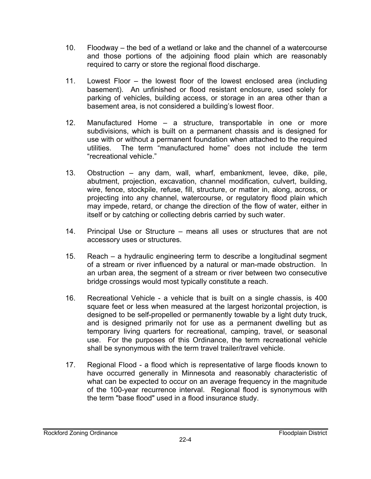- 10. Floodway the bed of a wetland or lake and the channel of a watercourse and those portions of the adjoining flood plain which are reasonably required to carry or store the regional flood discharge.
- 11. Lowest Floor the lowest floor of the lowest enclosed area (including basement). An unfinished or flood resistant enclosure, used solely for parking of vehicles, building access, or storage in an area other than a basement area, is not considered a building's lowest floor.
- 12. Manufactured Home a structure, transportable in one or more subdivisions, which is built on a permanent chassis and is designed for use with or without a permanent foundation when attached to the required utilities. The term "manufactured home" does not include the term "recreational vehicle."
- 13. Obstruction any dam, wall, wharf, embankment, levee, dike, pile, abutment, projection, excavation, channel modification, culvert, building, wire, fence, stockpile, refuse, fill, structure, or matter in, along, across, or projecting into any channel, watercourse, or regulatory flood plain which may impede, retard, or change the direction of the flow of water, either in itself or by catching or collecting debris carried by such water.
- 14. Principal Use or Structure means all uses or structures that are not accessory uses or structures.
- 15. Reach a hydraulic engineering term to describe a longitudinal segment of a stream or river influenced by a natural or man-made obstruction. In an urban area, the segment of a stream or river between two consecutive bridge crossings would most typically constitute a reach.
- 16. Recreational Vehicle a vehicle that is built on a single chassis, is 400 square feet or less when measured at the largest horizontal projection, is designed to be self-propelled or permanently towable by a light duty truck, and is designed primarily not for use as a permanent dwelling but as temporary living quarters for recreational, camping, travel, or seasonal use. For the purposes of this Ordinance, the term recreational vehicle shall be synonymous with the term travel trailer/travel vehicle.
- 17. Regional Flood a flood which is representative of large floods known to have occurred generally in Minnesota and reasonably characteristic of what can be expected to occur on an average frequency in the magnitude of the 100-year recurrence interval. Regional flood is synonymous with the term "base flood" used in a flood insurance study.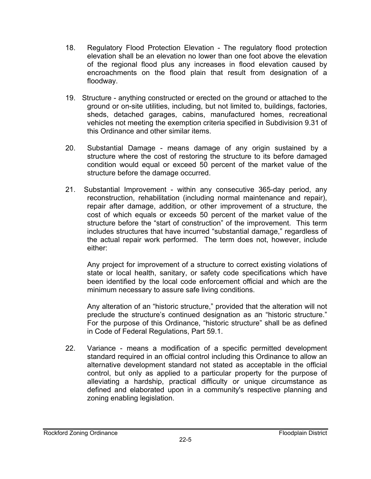- 18. Regulatory Flood Protection Elevation The regulatory flood protection elevation shall be an elevation no lower than one foot above the elevation of the regional flood plus any increases in flood elevation caused by encroachments on the flood plain that result from designation of a floodway.
- 19. Structure anything constructed or erected on the ground or attached to the ground or on-site utilities, including, but not limited to, buildings, factories, sheds, detached garages, cabins, manufactured homes, recreational vehicles not meeting the exemption criteria specified in Subdivision 9.31 of this Ordinance and other similar items.
- 20. Substantial Damage means damage of any origin sustained by a structure where the cost of restoring the structure to its before damaged condition would equal or exceed 50 percent of the market value of the structure before the damage occurred.
- 21. Substantial Improvement within any consecutive 365-day period, any reconstruction, rehabilitation (including normal maintenance and repair), repair after damage, addition, or other improvement of a structure, the cost of which equals or exceeds 50 percent of the market value of the structure before the "start of construction" of the improvement. This term includes structures that have incurred "substantial damage," regardless of the actual repair work performed. The term does not, however, include either:

Any project for improvement of a structure to correct existing violations of state or local health, sanitary, or safety code specifications which have been identified by the local code enforcement official and which are the minimum necessary to assure safe living conditions.

Any alteration of an "historic structure," provided that the alteration will not preclude the structure's continued designation as an "historic structure." For the purpose of this Ordinance, "historic structure" shall be as defined in Code of Federal Regulations, Part 59.1.

22. Variance - means a modification of a specific permitted development standard required in an official control including this Ordinance to allow an alternative development standard not stated as acceptable in the official control, but only as applied to a particular property for the purpose of alleviating a hardship, practical difficulty or unique circumstance as defined and elaborated upon in a community's respective planning and zoning enabling legislation.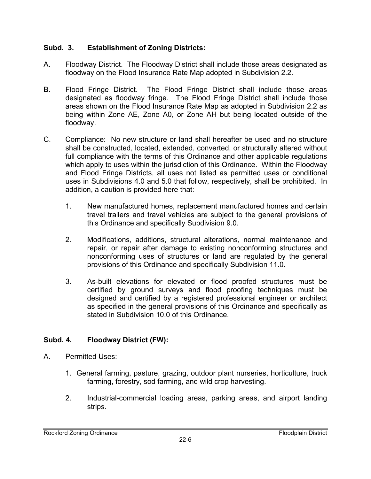# **Subd. 3. Establishment of Zoning Districts:**

- A. Floodway District. The Floodway District shall include those areas designated as floodway on the Flood Insurance Rate Map adopted in Subdivision 2.2.
- B. Flood Fringe District. The Flood Fringe District shall include those areas designated as floodway fringe. The Flood Fringe District shall include those areas shown on the Flood Insurance Rate Map as adopted in Subdivision 2.2 as being within Zone AE, Zone A0, or Zone AH but being located outside of the floodway.
- C. Compliance: No new structure or land shall hereafter be used and no structure shall be constructed, located, extended, converted, or structurally altered without full compliance with the terms of this Ordinance and other applicable regulations which apply to uses within the jurisdiction of this Ordinance. Within the Floodway and Flood Fringe Districts, all uses not listed as permitted uses or conditional uses in Subdivisions 4.0 and 5.0 that follow, respectively, shall be prohibited. In addition, a caution is provided here that:
	- 1. New manufactured homes, replacement manufactured homes and certain travel trailers and travel vehicles are subject to the general provisions of this Ordinance and specifically Subdivision 9.0.
	- 2. Modifications, additions, structural alterations, normal maintenance and repair, or repair after damage to existing nonconforming structures and nonconforming uses of structures or land are regulated by the general provisions of this Ordinance and specifically Subdivision 11.0.
	- 3. As-built elevations for elevated or flood proofed structures must be certified by ground surveys and flood proofing techniques must be designed and certified by a registered professional engineer or architect as specified in the general provisions of this Ordinance and specifically as stated in Subdivision 10.0 of this Ordinance.

# **Subd. 4. Floodway District (FW):**

- A. Permitted Uses:
	- 1. General farming, pasture, grazing, outdoor plant nurseries, horticulture, truck farming, forestry, sod farming, and wild crop harvesting.
	- 2. Industrial-commercial loading areas, parking areas, and airport landing strips.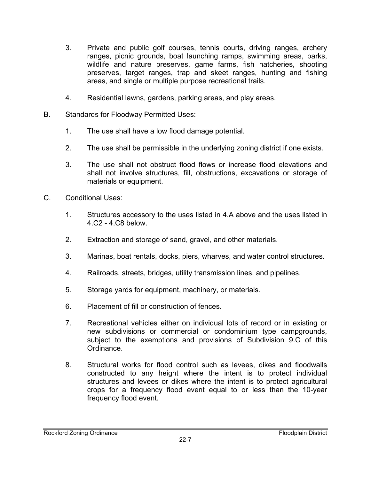- 3. Private and public golf courses, tennis courts, driving ranges, archery ranges, picnic grounds, boat launching ramps, swimming areas, parks, wildlife and nature preserves, game farms, fish hatcheries, shooting preserves, target ranges, trap and skeet ranges, hunting and fishing areas, and single or multiple purpose recreational trails.
- 4. Residential lawns, gardens, parking areas, and play areas.
- B. Standards for Floodway Permitted Uses:
	- 1. The use shall have a low flood damage potential.
	- 2. The use shall be permissible in the underlying zoning district if one exists.
	- 3. The use shall not obstruct flood flows or increase flood elevations and shall not involve structures, fill, obstructions, excavations or storage of materials or equipment.
- C. Conditional Uses:
	- 1. Structures accessory to the uses listed in 4.A above and the uses listed in 4.C2 - 4.C8 below.
	- 2. Extraction and storage of sand, gravel, and other materials.
	- 3. Marinas, boat rentals, docks, piers, wharves, and water control structures.
	- 4. Railroads, streets, bridges, utility transmission lines, and pipelines.
	- 5. Storage yards for equipment, machinery, or materials.
	- 6. Placement of fill or construction of fences.
	- 7. Recreational vehicles either on individual lots of record or in existing or new subdivisions or commercial or condominium type campgrounds, subject to the exemptions and provisions of Subdivision 9.C of this Ordinance.
	- 8. Structural works for flood control such as levees, dikes and floodwalls constructed to any height where the intent is to protect individual structures and levees or dikes where the intent is to protect agricultural crops for a frequency flood event equal to or less than the 10-year frequency flood event.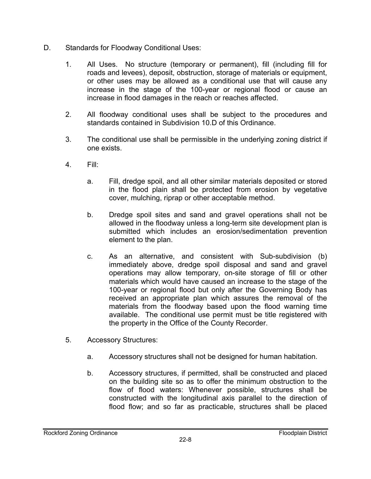- D. Standards for Floodway Conditional Uses:
	- 1. All Uses. No structure (temporary or permanent), fill (including fill for roads and levees), deposit, obstruction, storage of materials or equipment, or other uses may be allowed as a conditional use that will cause any increase in the stage of the 100-year or regional flood or cause an increase in flood damages in the reach or reaches affected.
	- 2. All floodway conditional uses shall be subject to the procedures and standards contained in Subdivision 10.D of this Ordinance.
	- 3. The conditional use shall be permissible in the underlying zoning district if one exists.
	- 4. Fill:
		- a. Fill, dredge spoil, and all other similar materials deposited or stored in the flood plain shall be protected from erosion by vegetative cover, mulching, riprap or other acceptable method.
		- b. Dredge spoil sites and sand and gravel operations shall not be allowed in the floodway unless a long-term site development plan is submitted which includes an erosion/sedimentation prevention element to the plan.
		- c. As an alternative, and consistent with Sub-subdivision (b) immediately above, dredge spoil disposal and sand and gravel operations may allow temporary, on-site storage of fill or other materials which would have caused an increase to the stage of the 100-year or regional flood but only after the Governing Body has received an appropriate plan which assures the removal of the materials from the floodway based upon the flood warning time available. The conditional use permit must be title registered with the property in the Office of the County Recorder.
	- 5. Accessory Structures:
		- a. Accessory structures shall not be designed for human habitation.
		- b. Accessory structures, if permitted, shall be constructed and placed on the building site so as to offer the minimum obstruction to the flow of flood waters: Whenever possible, structures shall be constructed with the longitudinal axis parallel to the direction of flood flow; and so far as practicable, structures shall be placed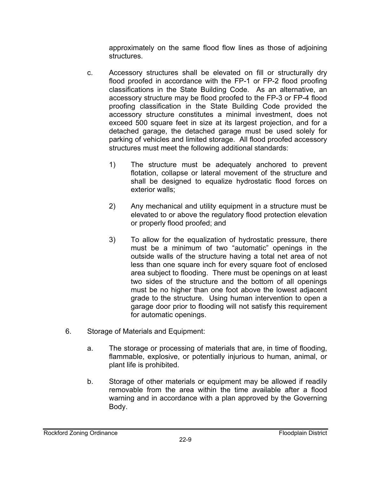approximately on the same flood flow lines as those of adjoining structures.

- c. Accessory structures shall be elevated on fill or structurally dry flood proofed in accordance with the FP-1 or FP-2 flood proofing classifications in the State Building Code. As an alternative, an accessory structure may be flood proofed to the FP-3 or FP-4 flood proofing classification in the State Building Code provided the accessory structure constitutes a minimal investment, does not exceed 500 square feet in size at its largest projection, and for a detached garage, the detached garage must be used solely for parking of vehicles and limited storage. All flood proofed accessory structures must meet the following additional standards:
	- 1) The structure must be adequately anchored to prevent flotation, collapse or lateral movement of the structure and shall be designed to equalize hydrostatic flood forces on exterior walls;
	- 2) Any mechanical and utility equipment in a structure must be elevated to or above the regulatory flood protection elevation or properly flood proofed; and
	- 3) To allow for the equalization of hydrostatic pressure, there must be a minimum of two "automatic" openings in the outside walls of the structure having a total net area of not less than one square inch for every square foot of enclosed area subject to flooding. There must be openings on at least two sides of the structure and the bottom of all openings must be no higher than one foot above the lowest adjacent grade to the structure. Using human intervention to open a garage door prior to flooding will not satisfy this requirement for automatic openings.
- 6. Storage of Materials and Equipment:
	- a. The storage or processing of materials that are, in time of flooding, flammable, explosive, or potentially injurious to human, animal, or plant life is prohibited.
	- b. Storage of other materials or equipment may be allowed if readily removable from the area within the time available after a flood warning and in accordance with a plan approved by the Governing Body.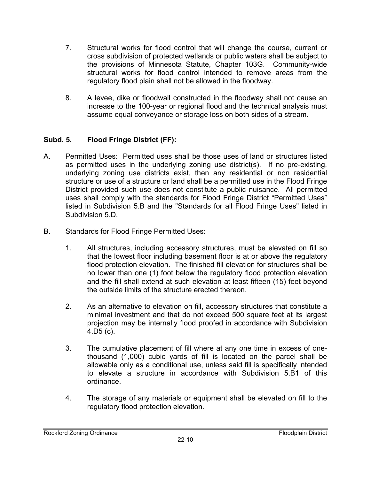- 7. Structural works for flood control that will change the course, current or cross subdivision of protected wetlands or public waters shall be subject to the provisions of Minnesota Statute, Chapter 103G. Community-wide structural works for flood control intended to remove areas from the regulatory flood plain shall not be allowed in the floodway.
- 8. A levee, dike or floodwall constructed in the floodway shall not cause an increase to the 100-year or regional flood and the technical analysis must assume equal conveyance or storage loss on both sides of a stream.

# **Subd. 5. Flood Fringe District (FF):**

- A. Permitted Uses: Permitted uses shall be those uses of land or structures listed as permitted uses in the underlying zoning use district(s). If no pre-existing, underlying zoning use districts exist, then any residential or non residential structure or use of a structure or land shall be a permitted use in the Flood Fringe District provided such use does not constitute a public nuisance. All permitted uses shall comply with the standards for Flood Fringe District "Permitted Uses" listed in Subdivision 5.B and the "Standards for all Flood Fringe Uses" listed in Subdivision 5.D.
- B. Standards for Flood Fringe Permitted Uses:
	- 1. All structures, including accessory structures, must be elevated on fill so that the lowest floor including basement floor is at or above the regulatory flood protection elevation. The finished fill elevation for structures shall be no lower than one (1) foot below the regulatory flood protection elevation and the fill shall extend at such elevation at least fifteen (15) feet beyond the outside limits of the structure erected thereon.
	- 2. As an alternative to elevation on fill, accessory structures that constitute a minimal investment and that do not exceed 500 square feet at its largest projection may be internally flood proofed in accordance with Subdivision 4.D5 (c).
	- 3. The cumulative placement of fill where at any one time in excess of onethousand (1,000) cubic yards of fill is located on the parcel shall be allowable only as a conditional use, unless said fill is specifically intended to elevate a structure in accordance with Subdivision 5.B1 of this ordinance.
	- 4. The storage of any materials or equipment shall be elevated on fill to the regulatory flood protection elevation.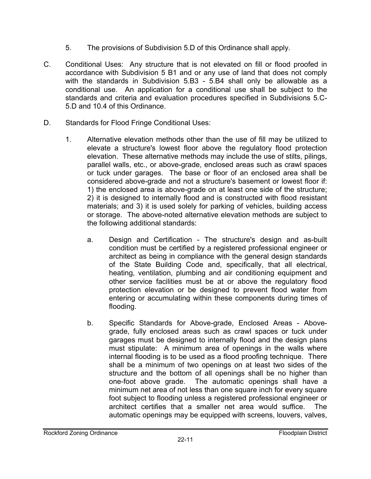- 5. The provisions of Subdivision 5.D of this Ordinance shall apply.
- C. Conditional Uses: Any structure that is not elevated on fill or flood proofed in accordance with Subdivision 5 B1 and or any use of land that does not comply with the standards in Subdivision 5.B3 - 5.B4 shall only be allowable as a conditional use. An application for a conditional use shall be subject to the standards and criteria and evaluation procedures specified in Subdivisions 5.C-5.D and 10.4 of this Ordinance.
- D. Standards for Flood Fringe Conditional Uses:
	- 1. Alternative elevation methods other than the use of fill may be utilized to elevate a structure's lowest floor above the regulatory flood protection elevation. These alternative methods may include the use of stilts, pilings, parallel walls, etc., or above-grade, enclosed areas such as crawl spaces or tuck under garages. The base or floor of an enclosed area shall be considered above-grade and not a structure's basement or lowest floor if: 1) the enclosed area is above-grade on at least one side of the structure; 2) it is designed to internally flood and is constructed with flood resistant materials; and 3) it is used solely for parking of vehicles, building access or storage. The above-noted alternative elevation methods are subject to the following additional standards:
		- a. Design and Certification The structure's design and as-built condition must be certified by a registered professional engineer or architect as being in compliance with the general design standards of the State Building Code and, specifically, that all electrical, heating, ventilation, plumbing and air conditioning equipment and other service facilities must be at or above the regulatory flood protection elevation or be designed to prevent flood water from entering or accumulating within these components during times of flooding.
		- b. Specific Standards for Above-grade, Enclosed Areas Abovegrade, fully enclosed areas such as crawl spaces or tuck under garages must be designed to internally flood and the design plans must stipulate: A minimum area of openings in the walls where internal flooding is to be used as a flood proofing technique. There shall be a minimum of two openings on at least two sides of the structure and the bottom of all openings shall be no higher than one-foot above grade. The automatic openings shall have a minimum net area of not less than one square inch for every square foot subject to flooding unless a registered professional engineer or architect certifies that a smaller net area would suffice. The automatic openings may be equipped with screens, louvers, valves,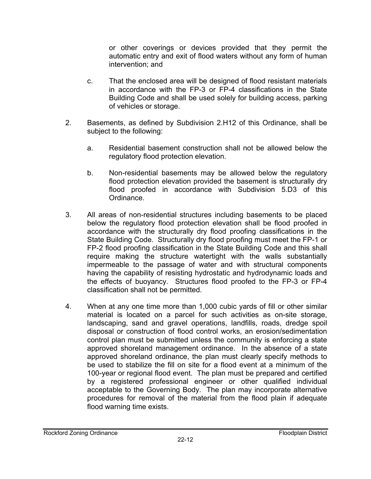or other coverings or devices provided that they permit the automatic entry and exit of flood waters without any form of human intervention; and

- c. That the enclosed area will be designed of flood resistant materials in accordance with the FP-3 or FP-4 classifications in the State Building Code and shall be used solely for building access, parking of vehicles or storage.
- 2. Basements, as defined by Subdivision 2.H12 of this Ordinance, shall be subject to the following:
	- a. Residential basement construction shall not be allowed below the regulatory flood protection elevation.
	- b. Non-residential basements may be allowed below the regulatory flood protection elevation provided the basement is structurally dry flood proofed in accordance with Subdivision 5.D3 of this Ordinance.
- 3. All areas of non-residential structures including basements to be placed below the regulatory flood protection elevation shall be flood proofed in accordance with the structurally dry flood proofing classifications in the State Building Code. Structurally dry flood proofing must meet the FP-1 or FP-2 flood proofing classification in the State Building Code and this shall require making the structure watertight with the walls substantially impermeable to the passage of water and with structural components having the capability of resisting hydrostatic and hydrodynamic loads and the effects of buoyancy. Structures flood proofed to the FP-3 or FP-4 classification shall not be permitted.
- 4. When at any one time more than 1,000 cubic yards of fill or other similar material is located on a parcel for such activities as on-site storage, landscaping, sand and gravel operations, landfills, roads, dredge spoil disposal or construction of flood control works, an erosion/sedimentation control plan must be submitted unless the community is enforcing a state approved shoreland management ordinance. In the absence of a state approved shoreland ordinance, the plan must clearly specify methods to be used to stabilize the fill on site for a flood event at a minimum of the 100-year or regional flood event. The plan must be prepared and certified by a registered professional engineer or other qualified individual acceptable to the Governing Body. The plan may incorporate alternative procedures for removal of the material from the flood plain if adequate flood warning time exists.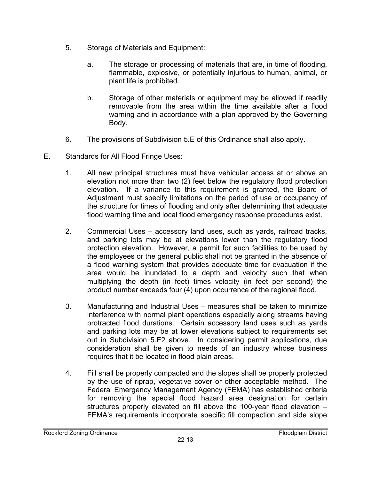- 5. Storage of Materials and Equipment:
	- a. The storage or processing of materials that are, in time of flooding, flammable, explosive, or potentially injurious to human, animal, or plant life is prohibited.
	- b. Storage of other materials or equipment may be allowed if readily removable from the area within the time available after a flood warning and in accordance with a plan approved by the Governing Body.
- 6. The provisions of Subdivision 5.E of this Ordinance shall also apply.
- E. Standards for All Flood Fringe Uses:
	- 1. All new principal structures must have vehicular access at or above an elevation not more than two (2) feet below the regulatory flood protection elevation. If a variance to this requirement is granted, the Board of Adjustment must specify limitations on the period of use or occupancy of the structure for times of flooding and only after determining that adequate flood warning time and local flood emergency response procedures exist.
	- 2. Commercial Uses accessory land uses, such as yards, railroad tracks, and parking lots may be at elevations lower than the regulatory flood protection elevation. However, a permit for such facilities to be used by the employees or the general public shall not be granted in the absence of a flood warning system that provides adequate time for evacuation if the area would be inundated to a depth and velocity such that when multiplying the depth (in feet) times velocity (in feet per second) the product number exceeds four (4) upon occurrence of the regional flood.
	- 3. Manufacturing and Industrial Uses measures shall be taken to minimize interference with normal plant operations especially along streams having protracted flood durations. Certain accessory land uses such as yards and parking lots may be at lower elevations subject to requirements set out in Subdivision 5.E2 above. In considering permit applications, due consideration shall be given to needs of an industry whose business requires that it be located in flood plain areas.
	- 4. Fill shall be properly compacted and the slopes shall be properly protected by the use of riprap, vegetative cover or other acceptable method. The Federal Emergency Management Agency (FEMA) has established criteria for removing the special flood hazard area designation for certain structures properly elevated on fill above the 100-year flood elevation – FEMA's requirements incorporate specific fill compaction and side slope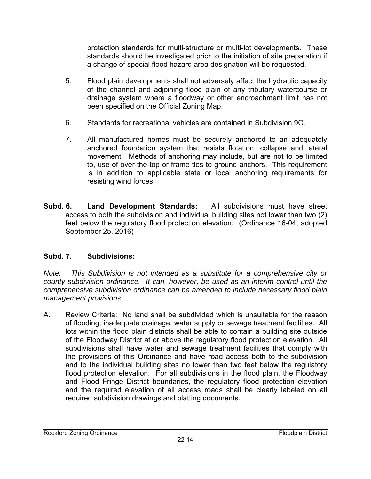protection standards for multi-structure or multi-lot developments. These standards should be investigated prior to the initiation of site preparation if a change of special flood hazard area designation will be requested.

- 5. Flood plain developments shall not adversely affect the hydraulic capacity of the channel and adjoining flood plain of any tributary watercourse or drainage system where a floodway or other encroachment limit has not been specified on the Official Zoning Map.
- 6. Standards for recreational vehicles are contained in Subdivision 9C.
- 7. All manufactured homes must be securely anchored to an adequately anchored foundation system that resists flotation, collapse and lateral movement. Methods of anchoring may include, but are not to be limited to, use of over-the-top or frame ties to ground anchors. This requirement is in addition to applicable state or local anchoring requirements for resisting wind forces.
- **Subd. 6. Land Development Standards:** All subdivisions must have street access to both the subdivision and individual building sites not lower than two (2) feet below the regulatory flood protection elevation. (Ordinance 16-04, adopted September 25, 2016)

# **Subd. 7. Subdivisions:**

*Note: This Subdivision is not intended as a substitute for a comprehensive city or county subdivision ordinance. It can, however, be used as an interim control until the comprehensive subdivision ordinance can be amended to include necessary flood plain management provisions.* 

A. Review Criteria: No land shall be subdivided which is unsuitable for the reason of flooding, inadequate drainage, water supply or sewage treatment facilities. All lots within the flood plain districts shall be able to contain a building site outside of the Floodway District at or above the regulatory flood protection elevation. All subdivisions shall have water and sewage treatment facilities that comply with the provisions of this Ordinance and have road access both to the subdivision and to the individual building sites no lower than two feet below the regulatory flood protection elevation. For all subdivisions in the flood plain, the Floodway and Flood Fringe District boundaries, the regulatory flood protection elevation and the required elevation of all access roads shall be clearly labeled on all required subdivision drawings and platting documents.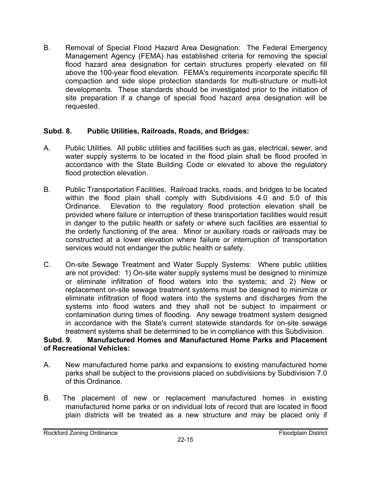B. Removal of Special Flood Hazard Area Designation: The Federal Emergency Management Agency (FEMA) has established criteria for removing the special flood hazard area designation for certain structures properly elevated on fill above the 100-year flood elevation. FEMA's requirements incorporate specific fill compaction and side slope protection standards for multi-structure or multi-lot developments. These standards should be investigated prior to the initiation of site preparation if a change of special flood hazard area designation will be requested.

## **Subd. 8. Public Utilities, Railroads, Roads, and Bridges:**

- A. Public Utilities. All public utilities and facilities such as gas, electrical, sewer, and water supply systems to be located in the flood plain shall be flood proofed in accordance with the State Building Code or elevated to above the regulatory flood protection elevation.
- B. Public Transportation Facilities. Railroad tracks, roads, and bridges to be located within the flood plain shall comply with Subdivisions 4.0 and 5.0 of this Ordinance. Elevation to the regulatory flood protection elevation shall be provided where failure or interruption of these transportation facilities would result in danger to the public health or safety or where such facilities are essential to the orderly functioning of the area. Minor or auxiliary roads or railroads may be constructed at a lower elevation where failure or interruption of transportation services would not endanger the public health or safety.
- C. On-site Sewage Treatment and Water Supply Systems: Where public utilities are not provided: 1) On-site water supply systems must be designed to minimize or eliminate infiltration of flood waters into the systems; and 2) New or replacement on-site sewage treatment systems must be designed to minimize or eliminate infiltration of flood waters into the systems and discharges from the systems into flood waters and they shall not be subject to impairment or contamination during times of flooding. Any sewage treatment system designed in accordance with the State's current statewide standards for on-site sewage treatment systems shall be determined to be in compliance with this Subdivision.

## **Subd. 9. Manufactured Homes and Manufactured Home Parks and Placement of Recreational Vehicles:**

- A. New manufactured home parks and expansions to existing manufactured home parks shall be subject to the provisions placed on subdivisions by Subdivision 7.0 of this Ordinance.
- B. The placement of new or replacement manufactured homes in existing manufactured home parks or on individual lots of record that are located in flood plain districts will be treated as a new structure and may be placed only if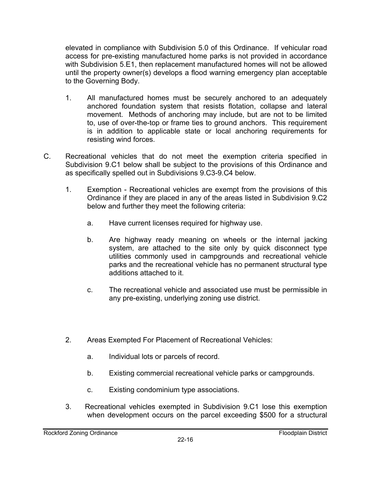elevated in compliance with Subdivision 5.0 of this Ordinance. If vehicular road access for pre-existing manufactured home parks is not provided in accordance with Subdivision 5.E1, then replacement manufactured homes will not be allowed until the property owner(s) develops a flood warning emergency plan acceptable to the Governing Body.

- 1. All manufactured homes must be securely anchored to an adequately anchored foundation system that resists flotation, collapse and lateral movement. Methods of anchoring may include, but are not to be limited to, use of over-the-top or frame ties to ground anchors. This requirement is in addition to applicable state or local anchoring requirements for resisting wind forces.
- C. Recreational vehicles that do not meet the exemption criteria specified in Subdivision 9.C1 below shall be subject to the provisions of this Ordinance and as specifically spelled out in Subdivisions 9.C3-9.C4 below.
	- 1. Exemption Recreational vehicles are exempt from the provisions of this Ordinance if they are placed in any of the areas listed in Subdivision 9.C2 below and further they meet the following criteria:
		- a. Have current licenses required for highway use.
		- b. Are highway ready meaning on wheels or the internal jacking system, are attached to the site only by quick disconnect type utilities commonly used in campgrounds and recreational vehicle parks and the recreational vehicle has no permanent structural type additions attached to it.
		- c. The recreational vehicle and associated use must be permissible in any pre-existing, underlying zoning use district.
	- 2. Areas Exempted For Placement of Recreational Vehicles:
		- a. Individual lots or parcels of record.
		- b. Existing commercial recreational vehicle parks or campgrounds.
		- c. Existing condominium type associations.
	- 3. Recreational vehicles exempted in Subdivision 9.C1 lose this exemption when development occurs on the parcel exceeding \$500 for a structural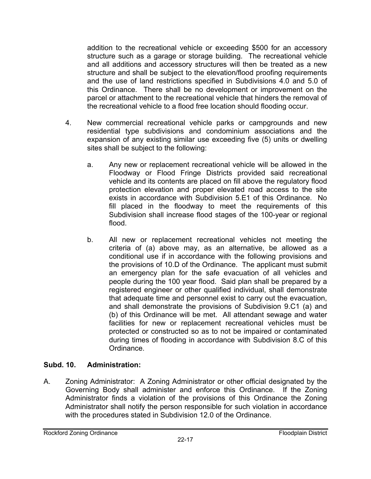addition to the recreational vehicle or exceeding \$500 for an accessory structure such as a garage or storage building. The recreational vehicle and all additions and accessory structures will then be treated as a new structure and shall be subject to the elevation/flood proofing requirements and the use of land restrictions specified in Subdivisions 4.0 and 5.0 of this Ordinance. There shall be no development or improvement on the parcel or attachment to the recreational vehicle that hinders the removal of the recreational vehicle to a flood free location should flooding occur.

- 4. New commercial recreational vehicle parks or campgrounds and new residential type subdivisions and condominium associations and the expansion of any existing similar use exceeding five (5) units or dwelling sites shall be subject to the following:
	- a. Any new or replacement recreational vehicle will be allowed in the Floodway or Flood Fringe Districts provided said recreational vehicle and its contents are placed on fill above the regulatory flood protection elevation and proper elevated road access to the site exists in accordance with Subdivision 5.E1 of this Ordinance. No fill placed in the floodway to meet the requirements of this Subdivision shall increase flood stages of the 100-year or regional flood.
	- b. All new or replacement recreational vehicles not meeting the criteria of (a) above may, as an alternative, be allowed as a conditional use if in accordance with the following provisions and the provisions of 10.D of the Ordinance. The applicant must submit an emergency plan for the safe evacuation of all vehicles and people during the 100 year flood. Said plan shall be prepared by a registered engineer or other qualified individual, shall demonstrate that adequate time and personnel exist to carry out the evacuation, and shall demonstrate the provisions of Subdivision 9.C1 (a) and (b) of this Ordinance will be met. All attendant sewage and water facilities for new or replacement recreational vehicles must be protected or constructed so as to not be impaired or contaminated during times of flooding in accordance with Subdivision 8.C of this Ordinance.

# **Subd. 10. Administration:**

A. Zoning Administrator: A Zoning Administrator or other official designated by the Governing Body shall administer and enforce this Ordinance. If the Zoning Administrator finds a violation of the provisions of this Ordinance the Zoning Administrator shall notify the person responsible for such violation in accordance with the procedures stated in Subdivision 12.0 of the Ordinance.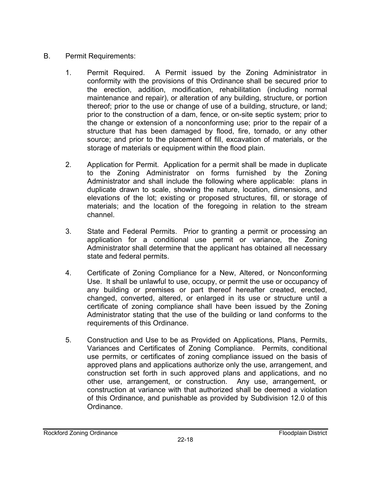- B. Permit Requirements:
	- 1. Permit Required. A Permit issued by the Zoning Administrator in conformity with the provisions of this Ordinance shall be secured prior to the erection, addition, modification, rehabilitation (including normal maintenance and repair), or alteration of any building, structure, or portion thereof; prior to the use or change of use of a building, structure, or land; prior to the construction of a dam, fence, or on-site septic system; prior to the change or extension of a nonconforming use; prior to the repair of a structure that has been damaged by flood, fire, tornado, or any other source; and prior to the placement of fill, excavation of materials, or the storage of materials or equipment within the flood plain.
	- 2. Application for Permit. Application for a permit shall be made in duplicate to the Zoning Administrator on forms furnished by the Zoning Administrator and shall include the following where applicable: plans in duplicate drawn to scale, showing the nature, location, dimensions, and elevations of the lot; existing or proposed structures, fill, or storage of materials; and the location of the foregoing in relation to the stream channel.
	- 3. State and Federal Permits. Prior to granting a permit or processing an application for a conditional use permit or variance, the Zoning Administrator shall determine that the applicant has obtained all necessary state and federal permits.
	- 4. Certificate of Zoning Compliance for a New, Altered, or Nonconforming Use. It shall be unlawful to use, occupy, or permit the use or occupancy of any building or premises or part thereof hereafter created, erected, changed, converted, altered, or enlarged in its use or structure until a certificate of zoning compliance shall have been issued by the Zoning Administrator stating that the use of the building or land conforms to the requirements of this Ordinance.
	- 5. Construction and Use to be as Provided on Applications, Plans, Permits, Variances and Certificates of Zoning Compliance. Permits, conditional use permits, or certificates of zoning compliance issued on the basis of approved plans and applications authorize only the use, arrangement, and construction set forth in such approved plans and applications, and no other use, arrangement, or construction. Any use, arrangement, or construction at variance with that authorized shall be deemed a violation of this Ordinance, and punishable as provided by Subdivision 12.0 of this Ordinance.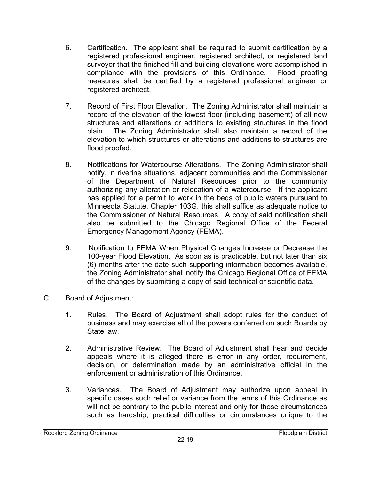- 6. Certification. The applicant shall be required to submit certification by a registered professional engineer, registered architect, or registered land surveyor that the finished fill and building elevations were accomplished in compliance with the provisions of this Ordinance. Flood proofing measures shall be certified by a registered professional engineer or registered architect.
- 7. Record of First Floor Elevation. The Zoning Administrator shall maintain a record of the elevation of the lowest floor (including basement) of all new structures and alterations or additions to existing structures in the flood plain. The Zoning Administrator shall also maintain a record of the elevation to which structures or alterations and additions to structures are flood proofed.
- 8. Notifications for Watercourse Alterations. The Zoning Administrator shall notify, in riverine situations, adjacent communities and the Commissioner of the Department of Natural Resources prior to the community authorizing any alteration or relocation of a watercourse. If the applicant has applied for a permit to work in the beds of public waters pursuant to Minnesota Statute, Chapter 103G, this shall suffice as adequate notice to the Commissioner of Natural Resources. A copy of said notification shall also be submitted to the Chicago Regional Office of the Federal Emergency Management Agency (FEMA).
- 9. Notification to FEMA When Physical Changes Increase or Decrease the 100-year Flood Elevation. As soon as is practicable, but not later than six (6) months after the date such supporting information becomes available, the Zoning Administrator shall notify the Chicago Regional Office of FEMA of the changes by submitting a copy of said technical or scientific data.
- C. Board of Adjustment:
	- 1. Rules. The Board of Adjustment shall adopt rules for the conduct of business and may exercise all of the powers conferred on such Boards by State law.
	- 2. Administrative Review. The Board of Adjustment shall hear and decide appeals where it is alleged there is error in any order, requirement, decision, or determination made by an administrative official in the enforcement or administration of this Ordinance.
	- 3. Variances. The Board of Adjustment may authorize upon appeal in specific cases such relief or variance from the terms of this Ordinance as will not be contrary to the public interest and only for those circumstances such as hardship, practical difficulties or circumstances unique to the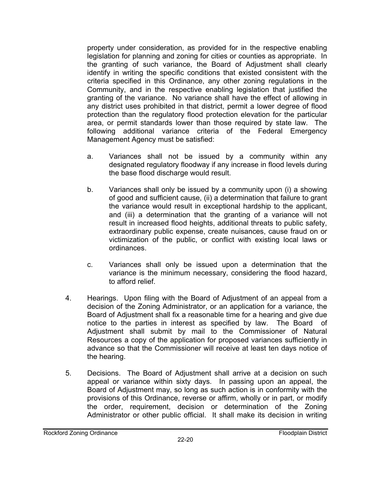property under consideration, as provided for in the respective enabling legislation for planning and zoning for cities or counties as appropriate. In the granting of such variance, the Board of Adjustment shall clearly identify in writing the specific conditions that existed consistent with the criteria specified in this Ordinance, any other zoning regulations in the Community, and in the respective enabling legislation that justified the granting of the variance. No variance shall have the effect of allowing in any district uses prohibited in that district, permit a lower degree of flood protection than the regulatory flood protection elevation for the particular area, or permit standards lower than those required by state law. The following additional variance criteria of the Federal Emergency Management Agency must be satisfied:

- a. Variances shall not be issued by a community within any designated regulatory floodway if any increase in flood levels during the base flood discharge would result.
- b. Variances shall only be issued by a community upon (i) a showing of good and sufficient cause, (ii) a determination that failure to grant the variance would result in exceptional hardship to the applicant, and (iii) a determination that the granting of a variance will not result in increased flood heights, additional threats to public safety, extraordinary public expense, create nuisances, cause fraud on or victimization of the public, or conflict with existing local laws or ordinances.
- c. Variances shall only be issued upon a determination that the variance is the minimum necessary, considering the flood hazard, to afford relief.
- 4. Hearings. Upon filing with the Board of Adjustment of an appeal from a decision of the Zoning Administrator, or an application for a variance, the Board of Adjustment shall fix a reasonable time for a hearing and give due notice to the parties in interest as specified by law. The Board of Adjustment shall submit by mail to the Commissioner of Natural Resources a copy of the application for proposed variances sufficiently in advance so that the Commissioner will receive at least ten days notice of the hearing.
- 5. Decisions. The Board of Adjustment shall arrive at a decision on such appeal or variance within sixty days. In passing upon an appeal, the Board of Adjustment may, so long as such action is in conformity with the provisions of this Ordinance, reverse or affirm, wholly or in part, or modify the order, requirement, decision or determination of the Zoning Administrator or other public official. It shall make its decision in writing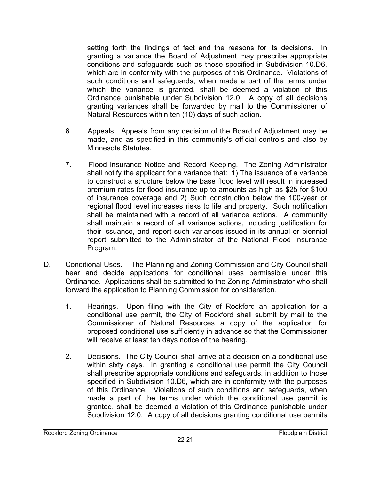setting forth the findings of fact and the reasons for its decisions. In granting a variance the Board of Adjustment may prescribe appropriate conditions and safeguards such as those specified in Subdivision 10.D6, which are in conformity with the purposes of this Ordinance. Violations of such conditions and safeguards, when made a part of the terms under which the variance is granted, shall be deemed a violation of this Ordinance punishable under Subdivision 12.0. A copy of all decisions granting variances shall be forwarded by mail to the Commissioner of Natural Resources within ten (10) days of such action.

- 6. Appeals. Appeals from any decision of the Board of Adjustment may be made, and as specified in this community's official controls and also by Minnesota Statutes.
- 7. Flood Insurance Notice and Record Keeping. The Zoning Administrator shall notify the applicant for a variance that: 1) The issuance of a variance to construct a structure below the base flood level will result in increased premium rates for flood insurance up to amounts as high as \$25 for \$100 of insurance coverage and 2) Such construction below the 100-year or regional flood level increases risks to life and property. Such notification shall be maintained with a record of all variance actions. A community shall maintain a record of all variance actions, including justification for their issuance, and report such variances issued in its annual or biennial report submitted to the Administrator of the National Flood Insurance Program.
- D. Conditional Uses. The Planning and Zoning Commission and City Council shall hear and decide applications for conditional uses permissible under this Ordinance. Applications shall be submitted to the Zoning Administrator who shall forward the application to Planning Commission for consideration.
	- 1. Hearings. Upon filing with the City of Rockford an application for a conditional use permit, the City of Rockford shall submit by mail to the Commissioner of Natural Resources a copy of the application for proposed conditional use sufficiently in advance so that the Commissioner will receive at least ten days notice of the hearing.
	- 2. Decisions. The City Council shall arrive at a decision on a conditional use within sixty days. In granting a conditional use permit the City Council shall prescribe appropriate conditions and safeguards, in addition to those specified in Subdivision 10.D6, which are in conformity with the purposes of this Ordinance. Violations of such conditions and safeguards, when made a part of the terms under which the conditional use permit is granted, shall be deemed a violation of this Ordinance punishable under Subdivision 12.0. A copy of all decisions granting conditional use permits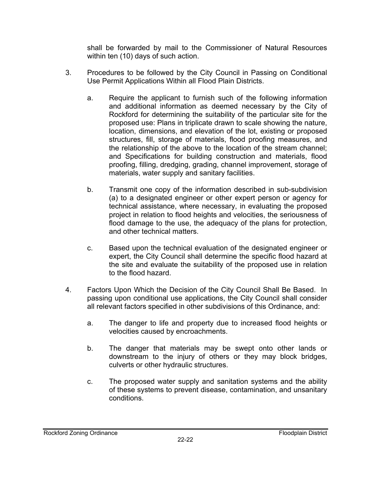shall be forwarded by mail to the Commissioner of Natural Resources within ten (10) days of such action.

- 3. Procedures to be followed by the City Council in Passing on Conditional Use Permit Applications Within all Flood Plain Districts.
	- a. Require the applicant to furnish such of the following information and additional information as deemed necessary by the City of Rockford for determining the suitability of the particular site for the proposed use: Plans in triplicate drawn to scale showing the nature, location, dimensions, and elevation of the lot, existing or proposed structures, fill, storage of materials, flood proofing measures, and the relationship of the above to the location of the stream channel; and Specifications for building construction and materials, flood proofing, filling, dredging, grading, channel improvement, storage of materials, water supply and sanitary facilities.
	- b. Transmit one copy of the information described in sub-subdivision (a) to a designated engineer or other expert person or agency for technical assistance, where necessary, in evaluating the proposed project in relation to flood heights and velocities, the seriousness of flood damage to the use, the adequacy of the plans for protection, and other technical matters.
	- c. Based upon the technical evaluation of the designated engineer or expert, the City Council shall determine the specific flood hazard at the site and evaluate the suitability of the proposed use in relation to the flood hazard.
- 4. Factors Upon Which the Decision of the City Council Shall Be Based. In passing upon conditional use applications, the City Council shall consider all relevant factors specified in other subdivisions of this Ordinance, and:
	- a. The danger to life and property due to increased flood heights or velocities caused by encroachments.
	- b. The danger that materials may be swept onto other lands or downstream to the injury of others or they may block bridges, culverts or other hydraulic structures.
	- c. The proposed water supply and sanitation systems and the ability of these systems to prevent disease, contamination, and unsanitary conditions.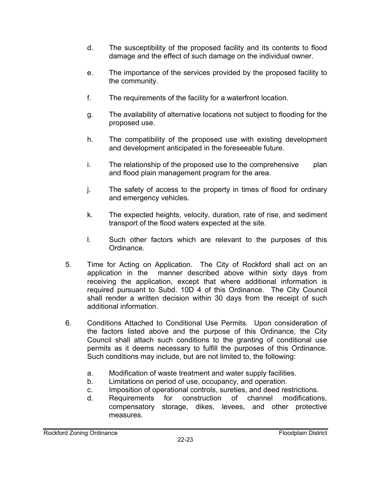- d. The susceptibility of the proposed facility and its contents to flood damage and the effect of such damage on the individual owner.
- e. The importance of the services provided by the proposed facility to the community.
- f. The requirements of the facility for a waterfront location.
- g. The availability of alternative locations not subject to flooding for the proposed use.
- h. The compatibility of the proposed use with existing development and development anticipated in the foreseeable future.
- i. The relationship of the proposed use to the comprehensive plan and flood plain management program for the area.
- j. The safety of access to the property in times of flood for ordinary and emergency vehicles.
- k. The expected heights, velocity, duration, rate of rise, and sediment transport of the flood waters expected at the site.
- l. Such other factors which are relevant to the purposes of this Ordinance.
- 5. Time for Acting on Application. The City of Rockford shall act on an application in the manner described above within sixty days from receiving the application, except that where additional information is required pursuant to Subd. 10D 4 of this Ordinance. The City Council shall render a written decision within 30 days from the receipt of such additional information.
- 6. Conditions Attached to Conditional Use Permits. Upon consideration of the factors listed above and the purpose of this Ordinance, the City Council shall attach such conditions to the granting of conditional use permits as it deems necessary to fulfill the purposes of this Ordinance. Such conditions may include, but are not limited to, the following:
	- a. Modification of waste treatment and water supply facilities.
	- b. Limitations on period of use, occupancy, and operation.
	- c. Imposition of operational controls, sureties, and deed restrictions.
	- d. Requirements for construction of channel modifications, compensatory storage, dikes, levees, and other protective measures.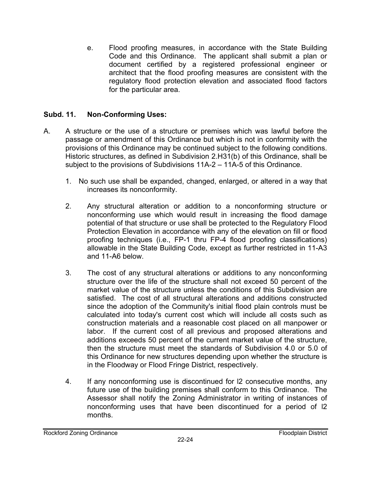e. Flood proofing measures, in accordance with the State Building Code and this Ordinance. The applicant shall submit a plan or document certified by a registered professional engineer or architect that the flood proofing measures are consistent with the regulatory flood protection elevation and associated flood factors for the particular area.

# **Subd. 11. Non-Conforming Uses:**

- A. A structure or the use of a structure or premises which was lawful before the passage or amendment of this Ordinance but which is not in conformity with the provisions of this Ordinance may be continued subject to the following conditions. Historic structures, as defined in Subdivision 2.H31(b) of this Ordinance, shall be subject to the provisions of Subdivisions 11A-2 – 11A-5 of this Ordinance.
	- 1. No such use shall be expanded, changed, enlarged, or altered in a way that increases its nonconformity.
	- 2. Any structural alteration or addition to a nonconforming structure or nonconforming use which would result in increasing the flood damage potential of that structure or use shall be protected to the Regulatory Flood Protection Elevation in accordance with any of the elevation on fill or flood proofing techniques (i.e., FP-1 thru FP-4 flood proofing classifications) allowable in the State Building Code, except as further restricted in 11-A3 and 11-A6 below.
	- 3. The cost of any structural alterations or additions to any nonconforming structure over the life of the structure shall not exceed 50 percent of the market value of the structure unless the conditions of this Subdivision are satisfied. The cost of all structural alterations and additions constructed since the adoption of the Community's initial flood plain controls must be calculated into today's current cost which will include all costs such as construction materials and a reasonable cost placed on all manpower or labor. If the current cost of all previous and proposed alterations and additions exceeds 50 percent of the current market value of the structure, then the structure must meet the standards of Subdivision 4.0 or 5.0 of this Ordinance for new structures depending upon whether the structure is in the Floodway or Flood Fringe District, respectively.
	- 4. If any nonconforming use is discontinued for l2 consecutive months, any future use of the building premises shall conform to this Ordinance. The Assessor shall notify the Zoning Administrator in writing of instances of nonconforming uses that have been discontinued for a period of l2 months.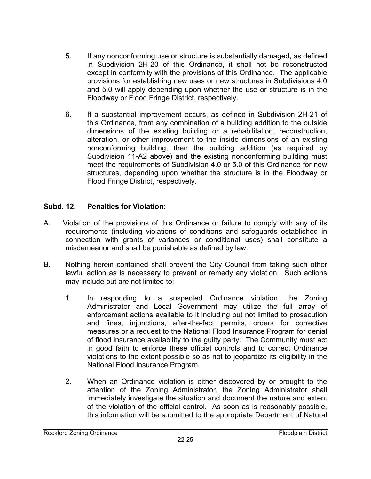- 5. If any nonconforming use or structure is substantially damaged, as defined in Subdivision 2H-20 of this Ordinance, it shall not be reconstructed except in conformity with the provisions of this Ordinance. The applicable provisions for establishing new uses or new structures in Subdivisions 4.0 and 5.0 will apply depending upon whether the use or structure is in the Floodway or Flood Fringe District, respectively.
- 6. If a substantial improvement occurs, as defined in Subdivision 2H-21 of this Ordinance, from any combination of a building addition to the outside dimensions of the existing building or a rehabilitation, reconstruction, alteration, or other improvement to the inside dimensions of an existing nonconforming building, then the building addition (as required by Subdivision 11-A2 above) and the existing nonconforming building must meet the requirements of Subdivision 4.0 or 5.0 of this Ordinance for new structures, depending upon whether the structure is in the Floodway or Flood Fringe District, respectively.

# **Subd. 12. Penalties for Violation:**

- A. Violation of the provisions of this Ordinance or failure to comply with any of its requirements (including violations of conditions and safeguards established in connection with grants of variances or conditional uses) shall constitute a misdemeanor and shall be punishable as defined by law.
- B. Nothing herein contained shall prevent the City Council from taking such other lawful action as is necessary to prevent or remedy any violation. Such actions may include but are not limited to:
	- 1. In responding to a suspected Ordinance violation, the Zoning Administrator and Local Government may utilize the full array of enforcement actions available to it including but not limited to prosecution and fines, injunctions, after-the-fact permits, orders for corrective measures or a request to the National Flood Insurance Program for denial of flood insurance availability to the guilty party. The Community must act in good faith to enforce these official controls and to correct Ordinance violations to the extent possible so as not to jeopardize its eligibility in the National Flood Insurance Program.
	- 2. When an Ordinance violation is either discovered by or brought to the attention of the Zoning Administrator, the Zoning Administrator shall immediately investigate the situation and document the nature and extent of the violation of the official control. As soon as is reasonably possible, this information will be submitted to the appropriate Department of Natural